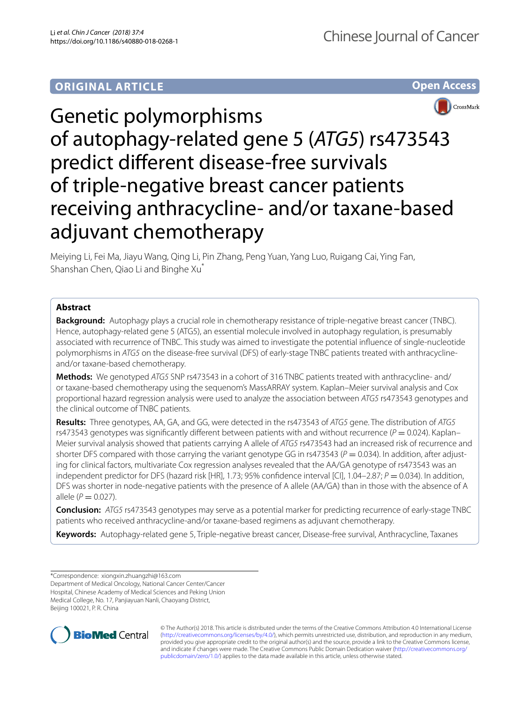# **ORIGINAL ARTICLE**





# Genetic polymorphisms of autophagy-related gene 5 (*ATG5*) rs473543 predict diferent disease-free survivals of triple-negative breast cancer patients receiving anthracycline- and/or taxane-based adjuvant chemotherapy

Meiying Li, Fei Ma, Jiayu Wang, Qing Li, Pin Zhang, Peng Yuan, Yang Luo, Ruigang Cai, Ying Fan, Shanshan Chen, Qiao Li and Binghe Xu\*

# **Abstract**

**Background:** Autophagy plays a crucial role in chemotherapy resistance of triple-negative breast cancer (TNBC). Hence, autophagy-related gene 5 (ATG5), an essential molecule involved in autophagy regulation, is presumably associated with recurrence of TNBC. This study was aimed to investigate the potential infuence of single-nucleotide polymorphisms in *ATG5* on the disease-free survival (DFS) of early-stage TNBC patients treated with anthracyclineand/or taxane-based chemotherapy.

**Methods:** We genotyped *ATG5* SNP rs473543 in a cohort of 316 TNBC patients treated with anthracycline- and/ or taxane-based chemotherapy using the sequenom's MassARRAY system. Kaplan–Meier survival analysis and Cox proportional hazard regression analysis were used to analyze the association between *ATG5* rs473543 genotypes and the clinical outcome of TNBC patients.

**Results:** Three genotypes, AA, GA, and GG, were detected in the rs473543 of *ATG5* gene. The distribution of *ATG5* rs473543 genotypes was significantly different between patients with and without recurrence ( $P = 0.024$ ). Kaplan– Meier survival analysis showed that patients carrying A allele of *ATG5* rs473543 had an increased risk of recurrence and shorter DFS compared with those carrying the variant genotype GG in rs473543 ( $P = 0.034$ ). In addition, after adjusting for clinical factors, multivariate Cox regression analyses revealed that the AA/GA genotype of rs473543 was an independent predictor for DFS (hazard risk [HR], 1.73; 95% confidence interval [CI], 1.04–2.87; *P* = 0.034). In addition, DFS was shorter in node-negative patients with the presence of A allele (AA/GA) than in those with the absence of A allele ( $P = 0.027$ ).

**Conclusion:** *ATG5* rs473543 genotypes may serve as a potential marker for predicting recurrence of early-stage TNBC patients who received anthracycline-and/or taxane-based regimens as adjuvant chemotherapy.

**Keywords:** Autophagy-related gene 5, Triple-negative breast cancer, Disease-free survival, Anthracycline, Taxanes

Department of Medical Oncology, National Cancer Center/Cancer Hospital, Chinese Academy of Medical Sciences and Peking Union Medical College, No. 17, Panjiayuan Nanli, Chaoyang District, Beijing 100021, P. R. China



© The Author(s) 2018. This article is distributed under the terms of the Creative Commons Attribution 4.0 International License [\(http://creativecommons.org/licenses/by/4.0/\)](http://creativecommons.org/licenses/by/4.0/), which permits unrestricted use, distribution, and reproduction in any medium, provided you give appropriate credit to the original author(s) and the source, provide a link to the Creative Commons license, and indicate if changes were made. The Creative Commons Public Domain Dedication waiver ([http://creativecommons.org/](http://creativecommons.org/publicdomain/zero/1.0/) [publicdomain/zero/1.0/](http://creativecommons.org/publicdomain/zero/1.0/)) applies to the data made available in this article, unless otherwise stated.

<sup>\*</sup>Correspondence: xiongxin.zhuangzhi@163.com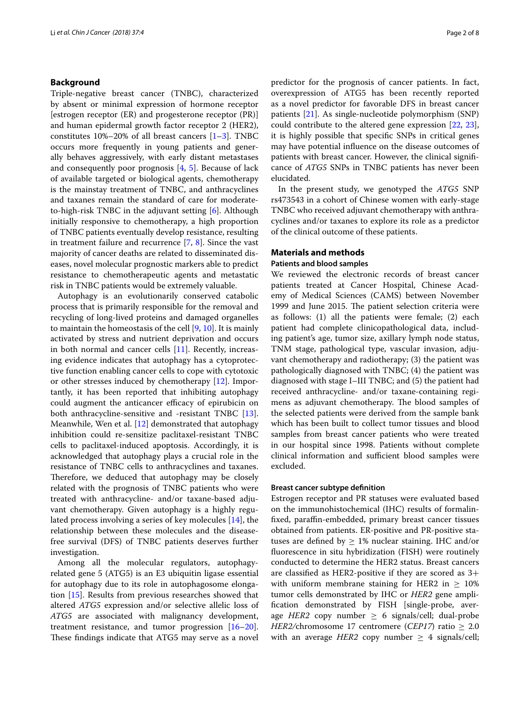#### **Background**

Triple-negative breast cancer (TNBC), characterized by absent or minimal expression of hormone receptor [estrogen receptor (ER) and progesterone receptor (PR)] and human epidermal growth factor receptor 2 (HER2), constitutes  $10\% - 20\%$  of all breast cancers  $[1-3]$  $[1-3]$ . TNBC occurs more frequently in young patients and generally behaves aggressively, with early distant metastases and consequently poor prognosis [[4,](#page-7-2) [5](#page-7-3)]. Because of lack of available targeted or biological agents, chemotherapy is the mainstay treatment of TNBC, and anthracyclines and taxanes remain the standard of care for moderateto-high-risk TNBC in the adjuvant setting [\[6](#page-7-4)]. Although initially responsive to chemotherapy, a high proportion of TNBC patients eventually develop resistance, resulting in treatment failure and recurrence [\[7](#page-7-5), [8\]](#page-7-6). Since the vast majority of cancer deaths are related to disseminated diseases, novel molecular prognostic markers able to predict resistance to chemotherapeutic agents and metastatic risk in TNBC patients would be extremely valuable.

Autophagy is an evolutionarily conserved catabolic process that is primarily responsible for the removal and recycling of long-lived proteins and damaged organelles to maintain the homeostasis of the cell [[9,](#page-7-7) [10\]](#page-7-8). It is mainly activated by stress and nutrient deprivation and occurs in both normal and cancer cells [\[11](#page-7-9)]. Recently, increasing evidence indicates that autophagy has a cytoprotective function enabling cancer cells to cope with cytotoxic or other stresses induced by chemotherapy [[12\]](#page-7-10). Importantly, it has been reported that inhibiting autophagy could augment the anticancer efficacy of epirubicin on both anthracycline-sensitive and -resistant TNBC [\[13](#page-7-11)]. Meanwhile, Wen et al. [\[12\]](#page-7-10) demonstrated that autophagy inhibition could re-sensitize paclitaxel-resistant TNBC cells to paclitaxel-induced apoptosis. Accordingly, it is acknowledged that autophagy plays a crucial role in the resistance of TNBC cells to anthracyclines and taxanes. Therefore, we deduced that autophagy may be closely related with the prognosis of TNBC patients who were treated with anthracycline- and/or taxane-based adjuvant chemotherapy. Given autophagy is a highly regulated process involving a series of key molecules [[14\]](#page-7-12), the relationship between these molecules and the diseasefree survival (DFS) of TNBC patients deserves further investigation.

Among all the molecular regulators, autophagyrelated gene 5 (ATG5) is an E3 ubiquitin ligase essential for autophagy due to its role in autophagosome elongation [[15\]](#page-7-13). Results from previous researches showed that altered *ATG5* expression and/or selective allelic loss of *ATG5* are associated with malignancy development, treatment resistance, and tumor progression [[16](#page-7-14)[–20](#page-7-15)]. These findings indicate that ATG5 may serve as a novel predictor for the prognosis of cancer patients. In fact, overexpression of ATG5 has been recently reported as a novel predictor for favorable DFS in breast cancer patients [[21\]](#page-7-16). As single-nucleotide polymorphism (SNP) could contribute to the altered gene expression [\[22,](#page-7-17) [23](#page-7-18)], it is highly possible that specifc SNPs in critical genes may have potential infuence on the disease outcomes of patients with breast cancer. However, the clinical signifcance of *ATG5* SNPs in TNBC patients has never been elucidated.

In the present study, we genotyped the *ATG5* SNP rs473543 in a cohort of Chinese women with early-stage TNBC who received adjuvant chemotherapy with anthracyclines and/or taxanes to explore its role as a predictor of the clinical outcome of these patients.

### **Materials and methods**

#### **Patients and blood samples**

We reviewed the electronic records of breast cancer patients treated at Cancer Hospital, Chinese Academy of Medical Sciences (CAMS) between November 1999 and June 2015. The patient selection criteria were as follows: (1) all the patients were female; (2) each patient had complete clinicopathological data, including patient's age, tumor size, axillary lymph node status, TNM stage, pathological type, vascular invasion, adjuvant chemotherapy and radiotherapy; (3) the patient was pathologically diagnosed with TNBC; (4) the patient was diagnosed with stage I–III TNBC; and (5) the patient had received anthracycline- and/or taxane-containing regimens as adjuvant chemotherapy. The blood samples of the selected patients were derived from the sample bank which has been built to collect tumor tissues and blood samples from breast cancer patients who were treated in our hospital since 1998. Patients without complete clinical information and sufficient blood samples were excluded.

#### **Breast cancer subtype defnition**

Estrogen receptor and PR statuses were evaluated based on the immunohistochemical (IHC) results of formalinfxed, parafn-embedded, primary breast cancer tissues obtained from patients. ER-positive and PR-positive statuses are defined by  $\geq 1\%$  nuclear staining. IHC and/or fuorescence in situ hybridization (FISH) were routinely conducted to determine the HER2 status. Breast cancers are classifed as HER2-positive if they are scored as 3+ with uniform membrane staining for HER2 in  $\geq 10\%$ tumor cells demonstrated by IHC or *HER2* gene amplifcation demonstrated by FISH [single-probe, average *HER2* copy number  $\geq$  6 signals/cell; dual-probe *HER2/chromosome 17 centromere (CEP17) ratio*  $\geq 2.0$ with an average *HER2* copy number  $\geq$  4 signals/cell;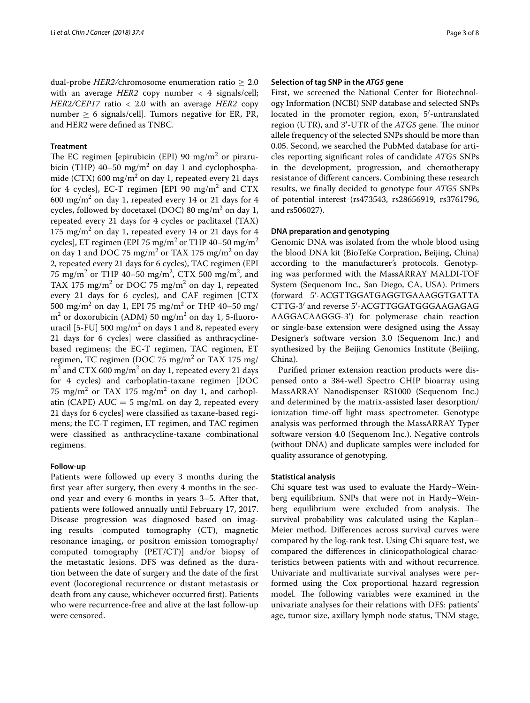dual-probe *HER2/chromosome* enumeration ratio  $\geq 2.0$ with an average  $HER2$  copy number  $\langle 4 \rangle$  signals/cell; *HER2/CEP17* ratio < 2.0 with an average *HER2* copy number  $\geq 6$  signals/cell]. Tumors negative for ER, PR, and HER2 were defned as TNBC.

## **Treatment**

The EC regimen [epirubicin (EPI)  $90 \text{ mg/m}^2$  or pirarubicin (THP)  $40-50$  mg/m<sup>2</sup> on day 1 and cyclophosphamide (CTX) 600 mg/m<sup>2</sup> on day 1, repeated every 21 days for 4 cycles], EC-T regimen [EPI 90  $\text{mg/m}^2$  and  $\text{CTX}$  $600 \text{ mg/m}^2$  on day 1, repeated every 14 or 21 days for 4 cycles, followed by docetaxel (DOC) 80 mg/m<sup>2</sup> on day 1, repeated every 21 days for 4 cycles or paclitaxel (TAX)  $175 \text{ mg/m}^2$  on day 1, repeated every 14 or 21 days for 4 cycles], ET regimen (EPI 75 mg/m $^2$  or THP 40–50 mg/m $^2$ on day 1 and DOC 75 mg/m<sup>2</sup> or TAX 175 mg/m<sup>2</sup> on day 2, repeated every 21 days for 6 cycles), TAC regimen (EPI 75 mg/m<sup>2</sup> or THP 40–50 mg/m<sup>2</sup>, CTX 500 mg/m<sup>2</sup>, and TAX 175 mg/m<sup>2</sup> or DOC 75 mg/m<sup>2</sup> on day 1, repeated every 21 days for 6 cycles), and CAF regimen [CTX 500 mg/m<sup>2</sup> on day 1, EPI 75 mg/m<sup>2</sup> or THP 40–50 mg/  $\text{m}^2$  or doxorubicin (ADM) 50 mg/m<sup>2</sup> on day 1, 5-fluorouracil [5-FU] 500 mg/m<sup>2</sup> on days 1 and 8, repeated every 21 days for 6 cycles] were classifed as anthracyclinebased regimens; the EC-T regimen, TAC regimen, ET regimen, TC regimen (DOC 75 mg/m $^2$  or TAX 175 mg/ m<sup>2</sup> and CTX 600 mg/m<sup>2</sup> on day 1, repeated every 21 days for 4 cycles) and carboplatin-taxane regimen [DOC 75 mg/m $^2$  or TAX 175 mg/m $^2$  on day 1, and carboplatin (CAPE)  $AUC = 5$  mg/mL on day 2, repeated every 21 days for 6 cycles] were classifed as taxane-based regimens; the EC-T regimen, ET regimen, and TAC regimen were classifed as anthracycline-taxane combinational regimens.

#### **Follow‑up**

Patients were followed up every 3 months during the frst year after surgery, then every 4 months in the second year and every 6 months in years 3–5. After that, patients were followed annually until February 17, 2017. Disease progression was diagnosed based on imaging results [computed tomography (CT), magnetic resonance imaging, or positron emission tomography/ computed tomography (PET/CT)] and/or biopsy of the metastatic lesions. DFS was defned as the duration between the date of surgery and the date of the frst event (locoregional recurrence or distant metastasis or death from any cause, whichever occurred frst). Patients who were recurrence-free and alive at the last follow-up were censored.

### **Selection of tag SNP in the** *ATG5* **gene**

First, we screened the National Center for Biotechnology Information (NCBI) SNP database and selected SNPs located in the promoter region, exon, 5′-untranslated region (UTR), and 3'-UTR of the *ATG5* gene. The minor allele frequency of the selected SNPs should be more than 0.05. Second, we searched the PubMed database for articles reporting signifcant roles of candidate *ATG5* SNPs in the development, progression, and chemotherapy resistance of diferent cancers. Combining these research results, we fnally decided to genotype four *ATG5* SNPs of potential interest (rs473543, rs28656919, rs3761796, and rs506027).

#### **DNA preparation and genotyping**

Genomic DNA was isolated from the whole blood using the blood DNA kit (BioTeKe Corpration, Beijing, China) according to the manufacturer's protocols. Genotyping was performed with the MassARRAY MALDI-TOF System (Sequenom Inc., San Diego, CA, USA). Primers (forward 5′-ACGTTGGATGAGGTGAAAGGTGATTA CTTG-3′ and reverse 5′-ACGTTGGATGGGAAGAGAG AAGGACAAGGG-3′) for polymerase chain reaction or single-base extension were designed using the Assay Designer's software version 3.0 (Sequenom Inc.) and synthesized by the Beijing Genomics Institute (Beijing, China).

Purifed primer extension reaction products were dispensed onto a 384-well Spectro CHIP bioarray using MassARRAY Nanodispenser RS1000 (Sequenom Inc.) and determined by the matrix-assisted laser desorption/ ionization time-off light mass spectrometer. Genotype analysis was performed through the MassARRAY Typer software version 4.0 (Sequenom Inc.). Negative controls (without DNA) and duplicate samples were included for quality assurance of genotyping.

#### **Statistical analysis**

Chi square test was used to evaluate the Hardy–Weinberg equilibrium. SNPs that were not in Hardy–Weinberg equilibrium were excluded from analysis. The survival probability was calculated using the Kaplan– Meier method. Diferences across survival curves were compared by the log-rank test. Using Chi square test, we compared the diferences in clinicopathological characteristics between patients with and without recurrence. Univariate and multivariate survival analyses were performed using the Cox proportional hazard regression model. The following variables were examined in the univariate analyses for their relations with DFS: patients' age, tumor size, axillary lymph node status, TNM stage,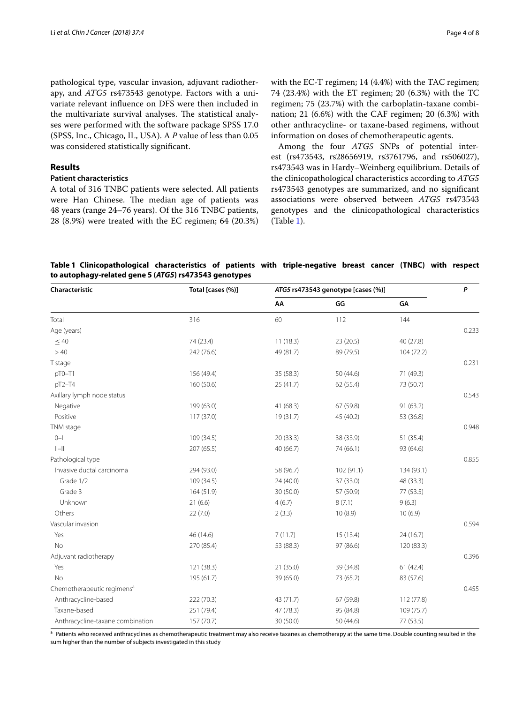pathological type, vascular invasion, adjuvant radiotherapy, and *ATG5* rs473543 genotype. Factors with a univariate relevant infuence on DFS were then included in the multivariate survival analyses. The statistical analyses were performed with the software package SPSS 17.0 (SPSS, Inc., Chicago, IL, USA). A *P* value of less than 0.05 was considered statistically signifcant.

#### **Results**

# **Patient characteristics**

A total of 316 TNBC patients were selected. All patients were Han Chinese. The median age of patients was 48 years (range 24–76 years). Of the 316 TNBC patients, 28 (8.9%) were treated with the EC regimen; 64 (20.3%) with the EC-T regimen; 14 (4.4%) with the TAC regimen; 74 (23.4%) with the ET regimen; 20 (6.3%) with the TC regimen; 75 (23.7%) with the carboplatin-taxane combination; 21 (6.6%) with the CAF regimen; 20 (6.3%) with other anthracycline- or taxane-based regimens, without information on doses of chemotherapeutic agents.

Among the four *ATG5* SNPs of potential interest (rs473543, rs28656919, rs3761796, and rs506027), rs473543 was in Hardy–Weinberg equilibrium. Details of the clinicopathological characteristics according to *ATG5* rs473543 genotypes are summarized, and no signifcant associations were observed between *ATG5* rs473543 genotypes and the clinicopathological characteristics (Table [1\)](#page-3-0).

<span id="page-3-0"></span>

| Table 1 Clinicopathological characteristics of patients with triple-negative breast cancer (TNBC) with respect |  |  |  |  |  |
|----------------------------------------------------------------------------------------------------------------|--|--|--|--|--|
| to autophagy-related gene 5 (ATG5) rs473543 genotypes                                                          |  |  |  |  |  |

| P     |
|-------|
|       |
|       |
| 0.233 |
|       |
|       |
| 0.231 |
|       |
|       |
| 0.543 |
|       |
|       |
| 0.948 |
|       |
|       |
| 0.855 |
|       |
|       |
|       |
|       |
|       |
| 0.594 |
|       |
|       |
| 0.396 |
|       |
|       |
| 0.455 |
|       |
|       |
|       |
|       |

<sup>a</sup> Patients who received anthracyclines as chemotherapeutic treatment may also receive taxanes as chemotherapy at the same time. Double counting resulted in the sum higher than the number of subjects investigated in this study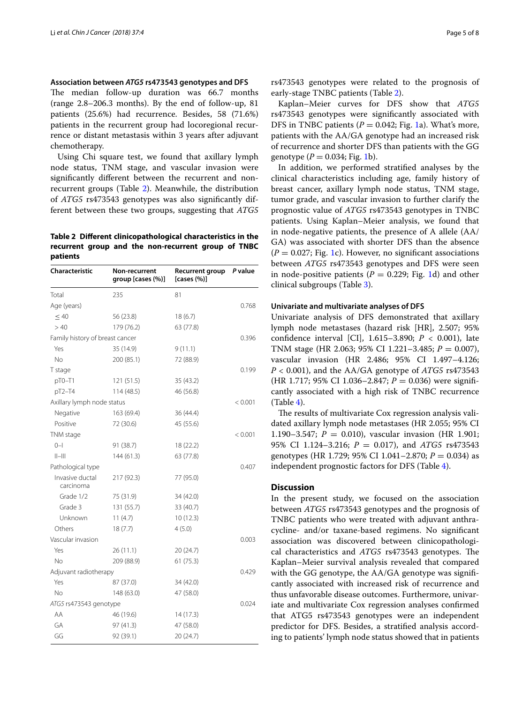## **Association between** *ATG5* **rs473543 genotypes and DFS**

The median follow-up duration was 66.7 months (range 2.8–206.3 months). By the end of follow-up, 81 patients (25.6%) had recurrence. Besides, 58 (71.6%) patients in the recurrent group had locoregional recurrence or distant metastasis within 3 years after adjuvant chemotherapy.

Using Chi square test, we found that axillary lymph node status, TNM stage, and vascular invasion were signifcantly diferent between the recurrent and nonrecurrent groups (Table [2](#page-4-0)). Meanwhile, the distribution of *ATG5* rs473543 genotypes was also signifcantly different between these two groups, suggesting that *ATG5*

## <span id="page-4-0"></span>**Table 2 Diferent clinicopathological characteristics in the recurrent group and the non-recurrent group of TNBC patients**

| Characteristic                  | Non-recurrent<br>group [cases (%)] | <b>Recurrent group</b><br>[cases $(\%)$ ] | P value |
|---------------------------------|------------------------------------|-------------------------------------------|---------|
| Total                           | 235                                | 81                                        |         |
| Age (years)                     |                                    |                                           | 0.768   |
| $\leq 40$                       | 56 (23.8)                          | 18(6.7)                                   |         |
| >40                             | 179 (76.2)                         | 63 (77.8)                                 |         |
| Family history of breast cancer |                                    |                                           | 0.396   |
| Yes                             | 35 (14.9)                          | 9(11.1)                                   |         |
| <b>No</b>                       | 200 (85.1)                         | 72 (88.9)                                 |         |
| T stage                         |                                    |                                           | 0.199   |
| pT0-T1                          | 121(51.5)                          | 35 (43.2)                                 |         |
| pT2-T4                          | 114 (48.5)                         | 46 (56.8)                                 |         |
| Axillary lymph node status      |                                    |                                           | < 0.001 |
| Negative                        | 163 (69.4)                         | 36 (44.4)                                 |         |
| Positive                        | 72 (30.6)                          | 45 (55.6)                                 |         |
| TNM stage                       |                                    |                                           | < 0.001 |
| $0 - 1$                         | 91 (38.7)                          | 18 (22.2)                                 |         |
| $  -   $                        | 144(61.3)                          | 63 (77.8)                                 |         |
| Pathological type               |                                    |                                           | 0.407   |
| Invasive ductal<br>carcinoma    | 217 (92.3)                         | 77 (95.0)                                 |         |
| Grade 1/2                       | 75 (31.9)                          | 34 (42.0)                                 |         |
| Grade 3                         | 131 (55.7)                         | 33 (40.7)                                 |         |
| Unknown                         | 11(4.7)                            | 10(12.3)                                  |         |
| Others                          | 18(7.7)                            | 4(5.0)                                    |         |
| Vascular invasion               |                                    |                                           | 0.003   |
| Yes                             | 26(11.1)                           | 20 (24.7)                                 |         |
| No                              | 209 (88.9)                         | 61(75.3)                                  |         |
| Adjuvant radiotherapy           |                                    |                                           | 0.429   |
| Yes                             | 87 (37.0)                          | 34 (42.0)                                 |         |
| No                              | 148 (63.0)                         | 47 (58.0)                                 |         |
| ATG5 rs473543 genotype          |                                    |                                           | 0.024   |
| AA                              | 46 (19.6)                          | 14(17.3)                                  |         |
| GA                              | 97 (41.3)                          | 47 (58.0)                                 |         |
| GG                              | 92 (39.1)                          | 20 (24.7)                                 |         |

rs473543 genotypes were related to the prognosis of early-stage TNBC patients (Table [2](#page-4-0)).

Kaplan–Meier curves for DFS show that *ATG5* rs473543 genotypes were signifcantly associated with DFS in TNBC patients  $(P = 0.042;$  Fig. [1](#page-5-0)a). What's more, patients with the AA/GA genotype had an increased risk of recurrence and shorter DFS than patients with the GG genotype  $(P = 0.034; Fig. 1b)$  $(P = 0.034; Fig. 1b)$  $(P = 0.034; Fig. 1b)$ .

In addition, we performed stratifed analyses by the clinical characteristics including age, family history of breast cancer, axillary lymph node status, TNM stage, tumor grade, and vascular invasion to further clarify the prognostic value of *ATG5* rs473543 genotypes in TNBC patients. Using Kaplan–Meier analysis, we found that in node-negative patients, the presence of A allele (AA/ GA) was associated with shorter DFS than the absence  $(P = 0.027;$  Fig. [1c](#page-5-0)). However, no significant associations between *ATG5* rs473543 genotypes and DFS were seen in node-positive patients  $(P = 0.229; Fig. 1d)$  $(P = 0.229; Fig. 1d)$  $(P = 0.229; Fig. 1d)$  and other clinical subgroups (Table [3\)](#page-6-0).

#### **Univariate and multivariate analyses of DFS**

Univariate analysis of DFS demonstrated that axillary lymph node metastases (hazard risk [HR], 2.507; 95% confdence interval [CI], 1.615–3.890; *P* < 0.001), late TNM stage (HR 2.063; 95% CI 1.221–3.485; *P* = 0.007), vascular invasion (HR 2.486; 95% CI 1.497–4.126; *P* < 0.001), and the AA/GA genotype of *ATG5* rs473543 (HR 1.717; 95% CI 1.036–2.847; *P* = 0.036) were signifcantly associated with a high risk of TNBC recurrence (Table [4\)](#page-6-1).

The results of multivariate Cox regression analysis validated axillary lymph node metastases (HR 2.055; 95% CI 1.190–3.547;  $P = 0.010$ ), vascular invasion (HR 1.901; 95% CI 1.124–3.216; *P* = 0.017), and *ATG5* rs473543 genotypes (HR 1.729; 95% CI 1.041–2.870; *P* = 0.034) as independent prognostic factors for DFS (Table [4](#page-6-1)).

# **Discussion**

In the present study, we focused on the association between *ATG5* rs473543 genotypes and the prognosis of TNBC patients who were treated with adjuvant anthracycline- and/or taxane-based regimens. No signifcant association was discovered between clinicopathological characteristics and *ATG5* rs473543 genotypes. The Kaplan–Meier survival analysis revealed that compared with the GG genotype, the AA/GA genotype was significantly associated with increased risk of recurrence and thus unfavorable disease outcomes. Furthermore, univariate and multivariate Cox regression analyses confrmed that ATG5 rs473543 genotypes were an independent predictor for DFS. Besides, a stratifed analysis according to patients' lymph node status showed that in patients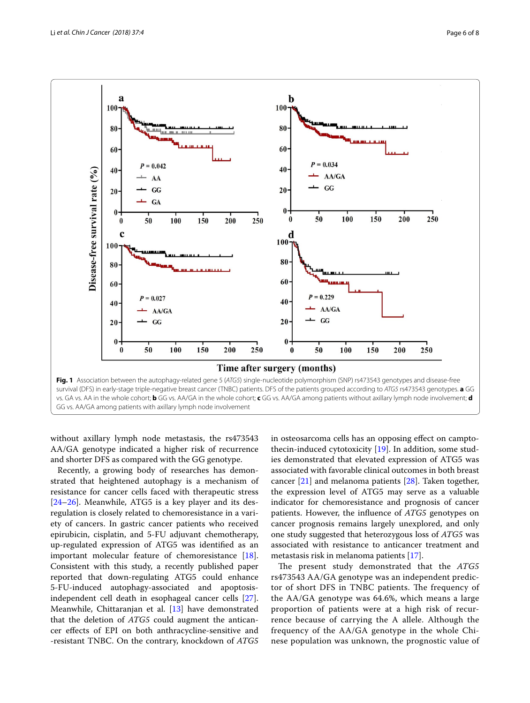

<span id="page-5-0"></span>without axillary lymph node metastasis, the rs473543 AA/GA genotype indicated a higher risk of recurrence and shorter DFS as compared with the GG genotype.

Recently, a growing body of researches has demonstrated that heightened autophagy is a mechanism of resistance for cancer cells faced with therapeutic stress [[24–](#page-7-19)[26](#page-7-20)]. Meanwhile, ATG5 is a key player and its desregulation is closely related to chemoresistance in a variety of cancers. In gastric cancer patients who received epirubicin, cisplatin, and 5-FU adjuvant chemotherapy, up-regulated expression of ATG5 was identifed as an important molecular feature of chemoresistance [\[18](#page-7-21)]. Consistent with this study, a recently published paper reported that down-regulating ATG5 could enhance 5-FU-induced autophagy-associated and apoptosisindependent cell death in esophageal cancer cells [\[27](#page-7-22)]. Meanwhile, Chittaranjan et al. [\[13](#page-7-11)] have demonstrated that the deletion of *ATG5* could augment the anticancer efects of EPI on both anthracycline-sensitive and -resistant TNBC. On the contrary, knockdown of *ATG5* in osteosarcoma cells has an opposing efect on camptothecin-induced cytotoxicity [[19\]](#page-7-23). In addition, some studies demonstrated that elevated expression of ATG5 was associated with favorable clinical outcomes in both breast cancer [[21\]](#page-7-16) and melanoma patients [[28](#page-7-24)]. Taken together, the expression level of ATG5 may serve as a valuable indicator for chemoresistance and prognosis of cancer patients. However, the infuence of *ATG5* genotypes on cancer prognosis remains largely unexplored, and only one study suggested that heterozygous loss of *ATG5* was associated with resistance to anticancer treatment and metastasis risk in melanoma patients [[17\]](#page-7-25).

The present study demonstrated that the *ATG5* rs473543 AA/GA genotype was an independent predictor of short DFS in TNBC patients. The frequency of the AA/GA genotype was 64.6%, which means a large proportion of patients were at a high risk of recurrence because of carrying the A allele. Although the frequency of the AA/GA genotype in the whole Chinese population was unknown, the prognostic value of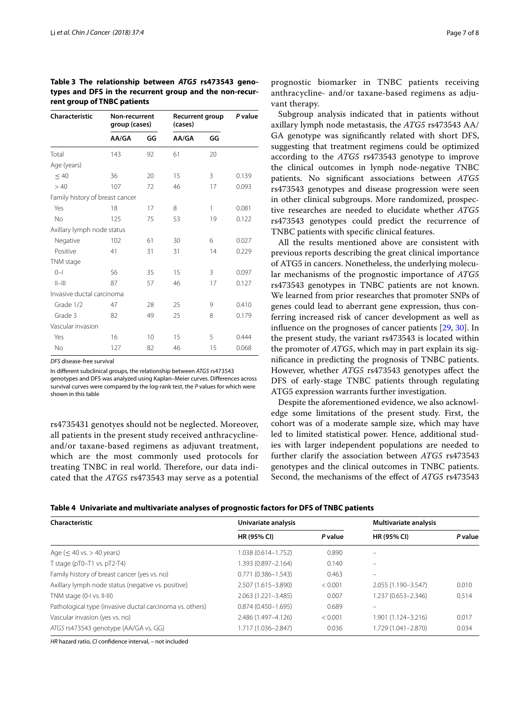| <b>Characteristic</b>           | Non-recurrent<br>group (cases) |    | <b>Recurrent group</b><br>(cases) | P value |       |  |
|---------------------------------|--------------------------------|----|-----------------------------------|---------|-------|--|
|                                 | AA/GA                          | GG | AA/GA                             | GG      |       |  |
| Total                           | 143                            | 92 | 61                                | 20      |       |  |
| Age (years)                     |                                |    |                                   |         |       |  |
| $\leq 40$                       | 36                             | 20 | 15                                | 3       | 0.139 |  |
| >40                             | 107                            | 72 | 46                                | 17      | 0.093 |  |
| Family history of breast cancer |                                |    |                                   |         |       |  |
| Yes                             | 18                             | 17 | 8                                 | 1       | 0.081 |  |
| <b>No</b>                       | 125                            | 75 | 53                                | 19      | 0.122 |  |
| Axillary lymph node status      |                                |    |                                   |         |       |  |
| Negative                        | 102                            | 61 | 30                                | 6       | 0.027 |  |
| Positive                        | 41                             | 31 | 31                                | 14      | 0.229 |  |
| TNM stage                       |                                |    |                                   |         |       |  |
| $0 - 1$                         | 56                             | 35 | 15                                | 3       | 0.097 |  |
| $  -   $                        | 87                             | 57 | 46                                | 17      | 0.127 |  |
| Invasive ductal carcinoma       |                                |    |                                   |         |       |  |
| Grade 1/2                       | 47                             | 28 | 25                                | 9       | 0.410 |  |
| Grade 3                         | 82                             | 49 | 25                                | 8       | 0.179 |  |
| Vascular invasion               |                                |    |                                   |         |       |  |
| Yes                             | 16                             | 10 | 15                                | 5       | 0.444 |  |
| No                              | 127                            | 82 | 46                                | 15      | 0.068 |  |

<span id="page-6-0"></span>**Table 3 The relationship between** *ATG5* **rs473543 genotypes and DFS in the recurrent group and the non-recurrent group of TNBC patients**

*DFS* disease-free survival

In diferent subclinical groups, the relationship between *ATG5* rs473543

genotypes and DFS was analyzed using Kaplan–Meier curves. Diferences across survival curves were compared by the log-rank test, the *P* values for which were shown in this table

rs4735431 genotyes should not be neglected. Moreover, all patients in the present study received anthracyclineand/or taxane-based regimens as adjuvant treatment, which are the most commonly used protocols for treating TNBC in real world. Therefore, our data indicated that the *ATG5* rs473543 may serve as a potential

prognostic biomarker in TNBC patients receiving anthracycline- and/or taxane-based regimens as adjuvant therapy.

Subgroup analysis indicated that in patients without axillary lymph node metastasis, the *ATG5* rs473543 AA/ GA genotype was signifcantly related with short DFS, suggesting that treatment regimens could be optimized according to the *ATG5* rs473543 genotype to improve the clinical outcomes in lymph node-negative TNBC patients. No signifcant associations between *ATG5* rs473543 genotypes and disease progression were seen in other clinical subgroups. More randomized, prospective researches are needed to elucidate whether *ATG5* rs473543 genotypes could predict the recurrence of TNBC patients with specifc clinical features.

All the results mentioned above are consistent with previous reports describing the great clinical importance of ATG5 in cancers. Nonetheless, the underlying molecular mechanisms of the prognostic importance of *ATG5* rs473543 genotypes in TNBC patients are not known. We learned from prior researches that promoter SNPs of genes could lead to aberrant gene expression, thus conferring increased risk of cancer development as well as infuence on the prognoses of cancer patients [\[29](#page-7-26), [30\]](#page-7-27). In the present study, the variant rs473543 is located within the promoter of *ATG5*, which may in part explain its signifcance in predicting the prognosis of TNBC patients. However, whether *ATG5* rs473543 genotypes afect the DFS of early-stage TNBC patients through regulating ATG5 expression warrants further investigation.

Despite the aforementioned evidence, we also acknowledge some limitations of the present study. First, the cohort was of a moderate sample size, which may have led to limited statistical power. Hence, additional studies with larger independent populations are needed to further clarify the association between *ATG5* rs473543 genotypes and the clinical outcomes in TNBC patients. Second, the mechanisms of the efect of *ATG5* rs473543

<span id="page-6-1"></span>

| Table 4 Univariate and multivariate analyses of prognostic factors for DFS of TNBC patients |  |  |  |  |
|---------------------------------------------------------------------------------------------|--|--|--|--|
|---------------------------------------------------------------------------------------------|--|--|--|--|

| Characteristic                                           | Univariate analysis    |         | <b>Multivariate analysis</b> |         |  |
|----------------------------------------------------------|------------------------|---------|------------------------------|---------|--|
|                                                          | <b>HR (95% CI)</b>     | P value | <b>HR (95% CI)</b>           | P value |  |
| Age ( $\leq 40$ vs. $> 40$ years)                        | 1.038 (0.614-1.752)    | 0.890   |                              |         |  |
| T stage ( $pT0-T1$ vs. $pT2-T4$ )                        | 1.393 (0.897-2.164)    | 0.140   | -                            |         |  |
| Family history of breast cancer (yes vs. no)             | $0.771(0.386 - 1.543)$ | 0.463   |                              |         |  |
| Axillary lymph node status (negative vs. positive)       | 2.507 (1.615-3.890)    | < 0.001 | 2.055 (1.190-3.547)          | 0.010   |  |
| TNM stage (0-I vs. II-III)                               | $2.063(1.221 - 3.485)$ | 0.007   | 1.237 (0.653-2.346)          | 0.514   |  |
| Pathological type (invasive ductal carcinoma vs. others) | $0.874(0.450 - 1.695)$ | 0.689   |                              |         |  |
| Vascular invasion (yes vs. no)                           | 2.486 (1.497-4.126)    | < 0.001 | 1.901 (1.124-3.216)          | 0.017   |  |
| ATG5 rs473543 genotype (AA/GA vs. GG)                    | 1.717 (1.036–2.847)    | 0.036   | 1.729 (1.041-2.870)          | 0.034   |  |

*HR* hazard ratio, *CI* confdence interval, *–* not included